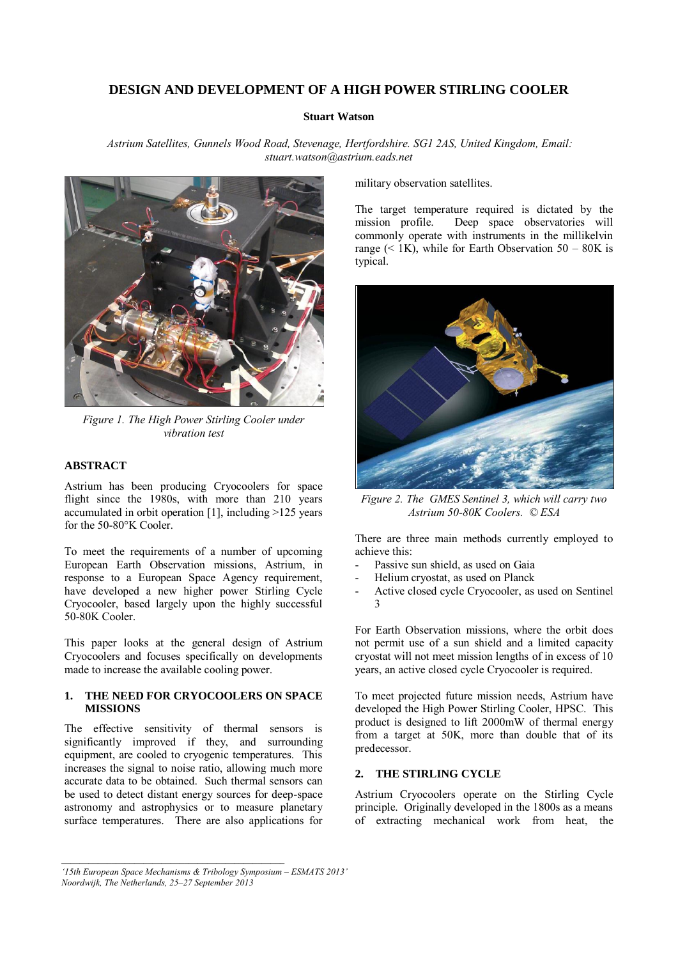# **DESIGN AND DEVELOPMENT OF A HIGH POWER STIRLING COOLER**

### **Stuart Watson**

*Astrium Satellites, Gunnels Wood Road, Stevenage, Hertfordshire. SG1 2AS, United Kingdom, Email: stuart.watson@astrium.eads.net* 



*Figure 1. The High Power Stirling Cooler under vibration test* 

### **ABSTRACT**

Astrium has been producing Cryocoolers for space flight since the 1980s, with more than 210 years accumulated in orbit operation [1], including >125 years for the 50-80°K Cooler.

To meet the requirements of a number of upcoming European Earth Observation missions, Astrium, in response to a European Space Agency requirement, have developed a new higher power Stirling Cycle Cryocooler, based largely upon the highly successful 50-80K Cooler.

This paper looks at the general design of Astrium Cryocoolers and focuses specifically on developments made to increase the available cooling power.

### **1. THE NEED FOR CRYOCOOLERS ON SPACE MISSIONS**

The effective sensitivity of thermal sensors is significantly improved if they, and surrounding equipment, are cooled to cryogenic temperatures. This increases the signal to noise ratio, allowing much more accurate data to be obtained. Such thermal sensors can be used to detect distant energy sources for deep-space astronomy and astrophysics or to measure planetary surface temperatures. There are also applications for military observation satellites.

The target temperature required is dictated by the mission profile. Deep space observatories will commonly operate with instruments in the millikelvin range  $(< 1K)$ , while for Earth Observation 50 – 80K is typical.



*Figure 2. The GMES Sentinel 3, which will carry two Astrium 50-80K Coolers. © ESA* 

There are three main methods currently employed to achieve this:

- Passive sun shield, as used on Gaia
- Helium cryostat, as used on Planck
- Active closed cycle Cryocooler, as used on Sentinel 3

For Earth Observation missions, where the orbit does not permit use of a sun shield and a limited capacity cryostat will not meet mission lengths of in excess of 10 years, an active closed cycle Cryocooler is required.

To meet projected future mission needs, Astrium have developed the High Power Stirling Cooler, HPSC. This product is designed to lift 2000mW of thermal energy from a target at 50K, more than double that of its predecessor.

### **2. THE STIRLING CYCLE**

Astrium Cryocoolers operate on the Stirling Cycle principle. Originally developed in the 1800s as a means of extracting mechanical work from heat, the

*<sup>&#</sup>x27;15th European Space Mechanisms & Tribology Symposium – ESMATS 2013' Noordwijk, The Netherlands, 25–27 September 2013*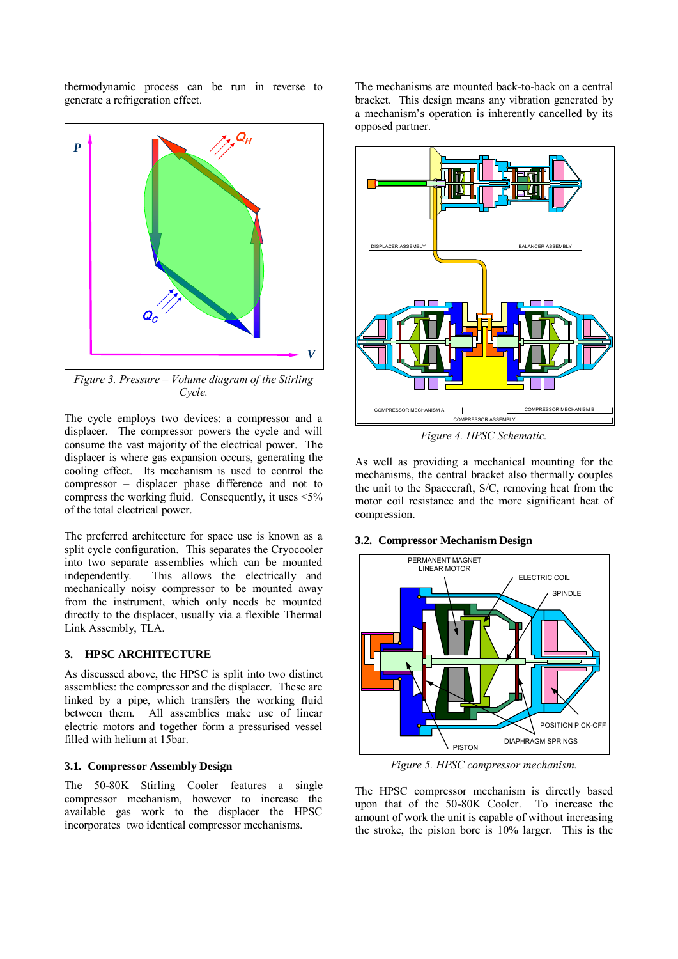thermodynamic process can be run in reverse to generate a refrigeration effect.



*Figure 3. Pressure – Volume diagram of the Stirling Cycle.* 

The cycle employs two devices: a compressor and a displacer. The compressor powers the cycle and will consume the vast majority of the electrical power. The displacer is where gas expansion occurs, generating the cooling effect. Its mechanism is used to control the compressor – displacer phase difference and not to compress the working fluid. Consequently, it uses  $\leq 5\%$ of the total electrical power.

The preferred architecture for space use is known as a split cycle configuration. This separates the Cryocooler into two separate assemblies which can be mounted independently. This allows the electrically and mechanically noisy compressor to be mounted away from the instrument, which only needs be mounted directly to the displacer, usually via a flexible Thermal Link Assembly, TLA.

### **3. HPSC ARCHITECTURE**

As discussed above, the HPSC is split into two distinct assemblies: the compressor and the displacer. These are linked by a pipe, which transfers the working fluid between them. All assemblies make use of linear electric motors and together form a pressurised vessel filled with helium at 15bar.

#### **3.1. Compressor Assembly Design**

The 50-80K Stirling Cooler features a single compressor mechanism, however to increase the available gas work to the displacer the HPSC incorporates two identical compressor mechanisms.

The mechanisms are mounted back-to-back on a central bracket. This design means any vibration generated by a mechanism's operation is inherently cancelled by its opposed partner.



*Figure 4. HPSC Schematic.* 

As well as providing a mechanical mounting for the mechanisms, the central bracket also thermally couples the unit to the Spacecraft, S/C, removing heat from the motor coil resistance and the more significant heat of compression.

#### **3.2. Compressor Mechanism Design**



*Figure 5. HPSC compressor mechanism.* 

The HPSC compressor mechanism is directly based upon that of the 50-80K Cooler. To increase the amount of work the unit is capable of without increasing the stroke, the piston bore is 10% larger. This is the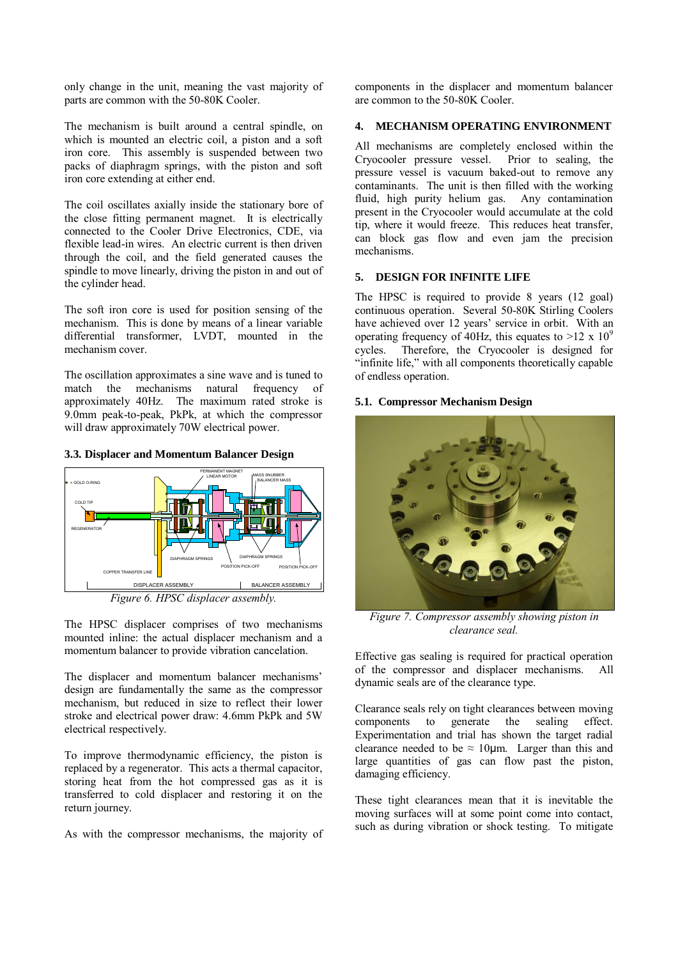only change in the unit, meaning the vast majority of parts are common with the 50-80K Cooler.

The mechanism is built around a central spindle, on which is mounted an electric coil, a piston and a soft iron core. This assembly is suspended between two packs of diaphragm springs, with the piston and soft iron core extending at either end.

The coil oscillates axially inside the stationary bore of the close fitting permanent magnet. It is electrically connected to the Cooler Drive Electronics, CDE, via flexible lead-in wires. An electric current is then driven through the coil, and the field generated causes the spindle to move linearly, driving the piston in and out of the cylinder head.

The soft iron core is used for position sensing of the mechanism. This is done by means of a linear variable differential transformer, LVDT, mounted in the mechanism cover.

The oscillation approximates a sine wave and is tuned to match the mechanisms natural frequency of approximately 40Hz. The maximum rated stroke is 9.0mm peak-to-peak, PkPk, at which the compressor will draw approximately 70W electrical power.





*Figure 6. HPSC displacer assembly.*

The HPSC displacer comprises of two mechanisms mounted inline: the actual displacer mechanism and a momentum balancer to provide vibration cancelation.

The displacer and momentum balancer mechanisms' design are fundamentally the same as the compressor mechanism, but reduced in size to reflect their lower stroke and electrical power draw: 4.6mm PkPk and 5W electrical respectively.

To improve thermodynamic efficiency, the piston is replaced by a regenerator. This acts a thermal capacitor, storing heat from the hot compressed gas as it is transferred to cold displacer and restoring it on the return journey.

As with the compressor mechanisms, the majority of

components in the displacer and momentum balancer are common to the 50-80K Cooler.

# **4. MECHANISM OPERATING ENVIRONMENT**

All mechanisms are completely enclosed within the Cryocooler pressure vessel. Prior to sealing, the pressure vessel is vacuum baked-out to remove any contaminants. The unit is then filled with the working fluid, high purity helium gas. Any contamination present in the Cryocooler would accumulate at the cold tip, where it would freeze. This reduces heat transfer, can block gas flow and even jam the precision mechanisms.

# **5. DESIGN FOR INFINITE LIFE**

The HPSC is required to provide 8 years (12 goal) continuous operation. Several 50-80K Stirling Coolers have achieved over 12 years' service in orbit. With an operating frequency of 40Hz, this equates to  $>12 \times 10^9$ cycles. Therefore, the Cryocooler is designed for "infinite life," with all components theoretically capable of endless operation.

#### **5.1. Compressor Mechanism Design**



*Figure 7. Compressor assembly showing piston in clearance seal.*

Effective gas sealing is required for practical operation of the compressor and displacer mechanisms. All dynamic seals are of the clearance type.

Clearance seals rely on tight clearances between moving components to generate the sealing effect. Experimentation and trial has shown the target radial clearance needed to be  $\approx 10 \mu$ m. Larger than this and large quantities of gas can flow past the piston, damaging efficiency.

These tight clearances mean that it is inevitable the moving surfaces will at some point come into contact, such as during vibration or shock testing. To mitigate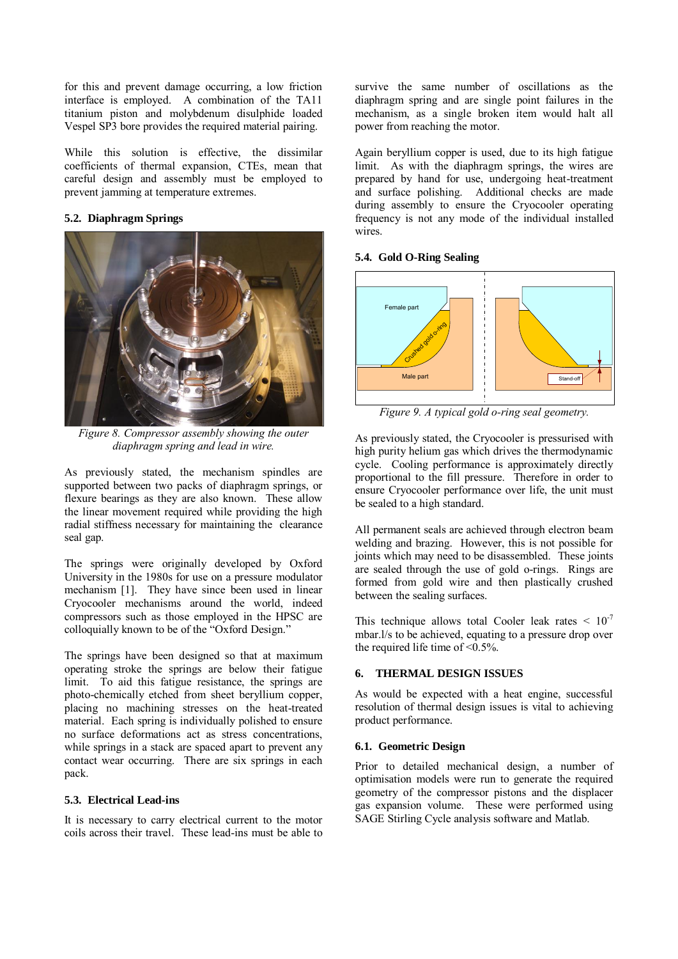for this and prevent damage occurring, a low friction interface is employed. A combination of the TA11 titanium piston and molybdenum disulphide loaded Vespel SP3 bore provides the required material pairing.

While this solution is effective, the dissimilar coefficients of thermal expansion, CTEs, mean that careful design and assembly must be employed to prevent jamming at temperature extremes.

# **5.2. Diaphragm Springs**



*Figure 8. Compressor assembly showing the outer diaphragm spring and lead in wire.*

As previously stated, the mechanism spindles are supported between two packs of diaphragm springs, or flexure bearings as they are also known. These allow the linear movement required while providing the high radial stiffness necessary for maintaining the clearance seal gap.

The springs were originally developed by Oxford University in the 1980s for use on a pressure modulator mechanism [1]. They have since been used in linear Cryocooler mechanisms around the world, indeed compressors such as those employed in the HPSC are colloquially known to be of the "Oxford Design."

The springs have been designed so that at maximum operating stroke the springs are below their fatigue limit. To aid this fatigue resistance, the springs are photo-chemically etched from sheet beryllium copper, placing no machining stresses on the heat-treated material. Each spring is individually polished to ensure no surface deformations act as stress concentrations, while springs in a stack are spaced apart to prevent any contact wear occurring. There are six springs in each pack.

#### **5.3. Electrical Lead-ins**

It is necessary to carry electrical current to the motor coils across their travel. These lead-ins must be able to survive the same number of oscillations as the diaphragm spring and are single point failures in the mechanism, as a single broken item would halt all power from reaching the motor.

Again beryllium copper is used, due to its high fatigue limit. As with the diaphragm springs, the wires are prepared by hand for use, undergoing heat-treatment and surface polishing. Additional checks are made during assembly to ensure the Cryocooler operating frequency is not any mode of the individual installed wires.

#### **5.4. Gold O-Ring Sealing**



*Figure 9. A typical gold o-ring seal geometry.* 

As previously stated, the Cryocooler is pressurised with high purity helium gas which drives the thermodynamic cycle. Cooling performance is approximately directly proportional to the fill pressure. Therefore in order to ensure Cryocooler performance over life, the unit must be sealed to a high standard.

All permanent seals are achieved through electron beam welding and brazing. However, this is not possible for joints which may need to be disassembled. These joints are sealed through the use of gold o-rings. Rings are formed from gold wire and then plastically crushed between the sealing surfaces.

This technique allows total Cooler leak rates  $\leq 10^{-7}$ mbar.l/s to be achieved, equating to a pressure drop over the required life time of  $\leq 0.5\%$ .

### **6. THERMAL DESIGN ISSUES**

As would be expected with a heat engine, successful resolution of thermal design issues is vital to achieving product performance.

## **6.1. Geometric Design**

Prior to detailed mechanical design, a number of optimisation models were run to generate the required geometry of the compressor pistons and the displacer gas expansion volume. These were performed using SAGE Stirling Cycle analysis software and Matlab.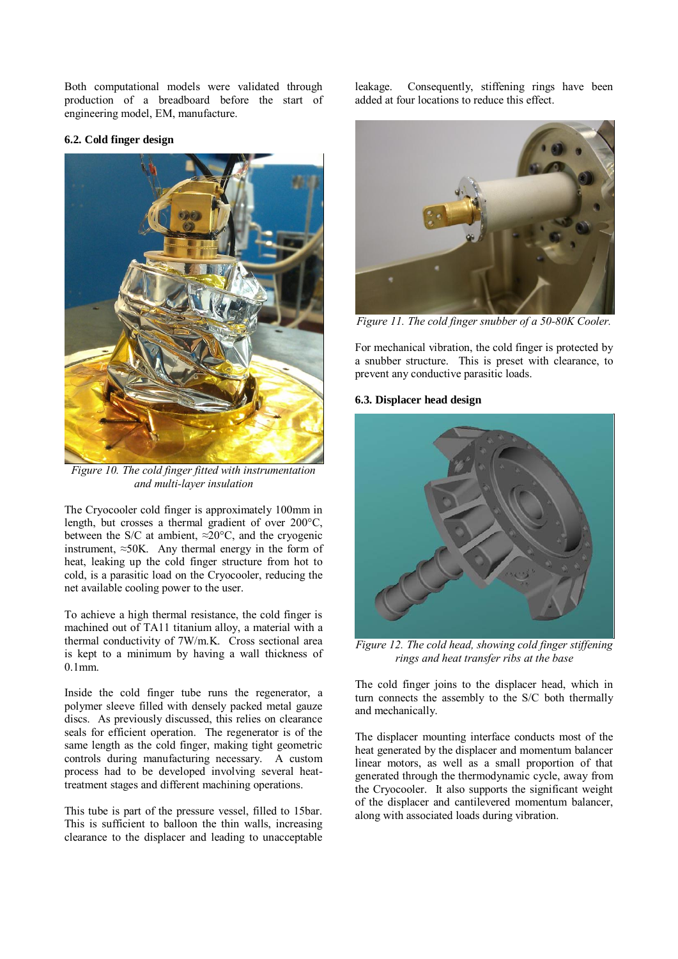Both computational models were validated through production of a breadboard before the start of engineering model, EM, manufacture.

### **6.2. Cold finger design**



*Figure 10. The cold finger fitted with instrumentation and multi-layer insulation*

The Cryocooler cold finger is approximately 100mm in length, but crosses a thermal gradient of over 200°C, between the S/C at ambient,  $\approx 20^{\circ}$ C, and the cryogenic instrument,  $\approx$ 50K. Any thermal energy in the form of heat, leaking up the cold finger structure from hot to cold, is a parasitic load on the Cryocooler, reducing the net available cooling power to the user.

To achieve a high thermal resistance, the cold finger is machined out of TA11 titanium alloy, a material with a thermal conductivity of 7W/m.K. Cross sectional area is kept to a minimum by having a wall thickness of 0.1mm.

Inside the cold finger tube runs the regenerator, a polymer sleeve filled with densely packed metal gauze discs. As previously discussed, this relies on clearance seals for efficient operation. The regenerator is of the same length as the cold finger, making tight geometric controls during manufacturing necessary. A custom process had to be developed involving several heattreatment stages and different machining operations.

This tube is part of the pressure vessel, filled to 15bar. This is sufficient to balloon the thin walls, increasing clearance to the displacer and leading to unacceptable

leakage. Consequently, stiffening rings have been added at four locations to reduce this effect.



*Figure 11. The cold finger snubber of a 50-80K Cooler.*

For mechanical vibration, the cold finger is protected by a snubber structure. This is preset with clearance, to prevent any conductive parasitic loads.

### **6.3. Displacer head design**



*Figure 12. The cold head, showing cold finger stiffening rings and heat transfer ribs at the base*

The cold finger joins to the displacer head, which in turn connects the assembly to the S/C both thermally and mechanically.

The displacer mounting interface conducts most of the heat generated by the displacer and momentum balancer linear motors, as well as a small proportion of that generated through the thermodynamic cycle, away from the Cryocooler. It also supports the significant weight of the displacer and cantilevered momentum balancer, along with associated loads during vibration.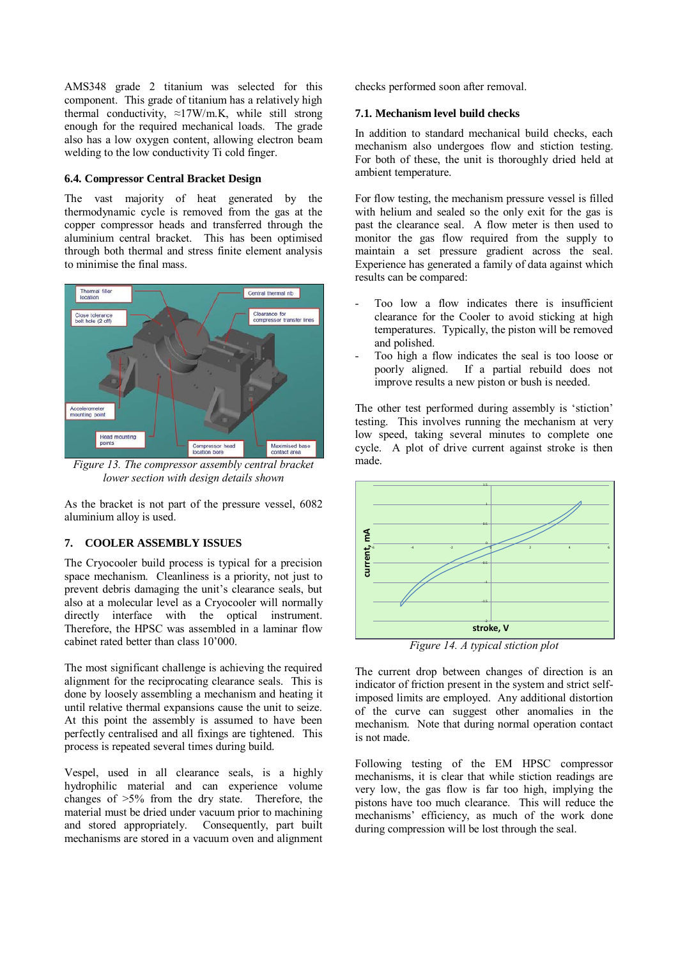AMS348 grade 2 titanium was selected for this component. This grade of titanium has a relatively high thermal conductivity,  $\approx$ 17W/m.K, while still strong enough for the required mechanical loads. The grade also has a low oxygen content, allowing electron beam welding to the low conductivity Ti cold finger.

### **6.4. Compressor Central Bracket Design**

The vast majority of heat generated by the thermodynamic cycle is removed from the gas at the copper compressor heads and transferred through the aluminium central bracket. This has been optimised through both thermal and stress finite element analysis to minimise the final mass.



*Figure 13. The compressor assembly central bracket lower section with design details shown*

As the bracket is not part of the pressure vessel, 6082 aluminium alloy is used.

### **7. COOLER ASSEMBLY ISSUES**

The Cryocooler build process is typical for a precision space mechanism. Cleanliness is a priority, not just to prevent debris damaging the unit's clearance seals, but also at a molecular level as a Cryocooler will normally directly interface with the optical instrument. Therefore, the HPSC was assembled in a laminar flow cabinet rated better than class 10'000.

The most significant challenge is achieving the required alignment for the reciprocating clearance seals. This is done by loosely assembling a mechanism and heating it until relative thermal expansions cause the unit to seize. At this point the assembly is assumed to have been perfectly centralised and all fixings are tightened. This process is repeated several times during build.

Vespel, used in all clearance seals, is a highly hydrophilic material and can experience volume changes of >5% from the dry state. Therefore, the material must be dried under vacuum prior to machining and stored appropriately. Consequently, part built mechanisms are stored in a vacuum oven and alignment

checks performed soon after removal.

#### **7.1. Mechanism level build checks**

In addition to standard mechanical build checks, each mechanism also undergoes flow and stiction testing. For both of these, the unit is thoroughly dried held at ambient temperature.

For flow testing, the mechanism pressure vessel is filled with helium and sealed so the only exit for the gas is past the clearance seal. A flow meter is then used to monitor the gas flow required from the supply to maintain a set pressure gradient across the seal. Experience has generated a family of data against which results can be compared:

- Too low a flow indicates there is insufficient clearance for the Cooler to avoid sticking at high temperatures. Typically, the piston will be removed and polished.
- Too high a flow indicates the seal is too loose or poorly aligned. If a partial rebuild does not improve results a new piston or bush is needed.

The other test performed during assembly is 'stiction' testing. This involves running the mechanism at very low speed, taking several minutes to complete one cycle. A plot of drive current against stroke is then made.



*Figure 14. A typical stiction plot*

The current drop between changes of direction is an indicator of friction present in the system and strict selfimposed limits are employed. Any additional distortion of the curve can suggest other anomalies in the mechanism. Note that during normal operation contact is not made.

Following testing of the EM HPSC compressor mechanisms, it is clear that while stiction readings are very low, the gas flow is far too high, implying the pistons have too much clearance. This will reduce the mechanisms' efficiency, as much of the work done during compression will be lost through the seal.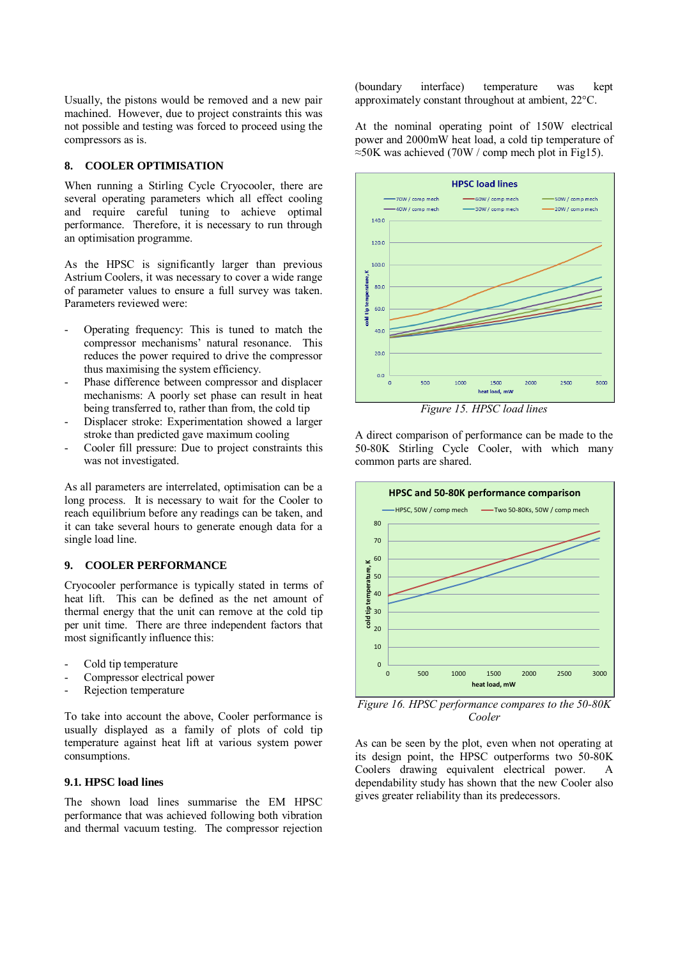Usually, the pistons would be removed and a new pair machined. However, due to project constraints this was not possible and testing was forced to proceed using the compressors as is.

#### **8. COOLER OPTIMISATION**

When running a Stirling Cycle Cryocooler, there are several operating parameters which all effect cooling and require careful tuning to achieve optimal performance. Therefore, it is necessary to run through an optimisation programme.

As the HPSC is significantly larger than previous Astrium Coolers, it was necessary to cover a wide range of parameter values to ensure a full survey was taken. Parameters reviewed were:

- Operating frequency: This is tuned to match the compressor mechanisms' natural resonance. This reduces the power required to drive the compressor thus maximising the system efficiency.
- Phase difference between compressor and displacer mechanisms: A poorly set phase can result in heat being transferred to, rather than from, the cold tip
- Displacer stroke: Experimentation showed a larger stroke than predicted gave maximum cooling
- Cooler fill pressure: Due to project constraints this was not investigated.

As all parameters are interrelated, optimisation can be a long process. It is necessary to wait for the Cooler to reach equilibrium before any readings can be taken, and it can take several hours to generate enough data for a single load line.

#### **9. COOLER PERFORMANCE**

Cryocooler performance is typically stated in terms of heat lift. This can be defined as the net amount of thermal energy that the unit can remove at the cold tip per unit time. There are three independent factors that most significantly influence this:

- Cold tip temperature
- Compressor electrical power
- Rejection temperature

To take into account the above, Cooler performance is usually displayed as a family of plots of cold tip temperature against heat lift at various system power consumptions.

#### **9.1. HPSC load lines**

The shown load lines summarise the EM HPSC performance that was achieved following both vibration and thermal vacuum testing. The compressor rejection (boundary interface) temperature was kept approximately constant throughout at ambient, 22°C.

At the nominal operating point of 150W electrical power and 2000mW heat load, a cold tip temperature of ≈50K was achieved (70W / comp mech plot in Fig15).



*Figure 15. HPSC load lines*

A direct comparison of performance can be made to the 50-80K Stirling Cycle Cooler, with which many common parts are shared.



*Figure 16. HPSC performance compares to the 50-80K Cooler*

As can be seen by the plot, even when not operating at its design point, the HPSC outperforms two 50-80K Coolers drawing equivalent electrical power. dependability study has shown that the new Cooler also gives greater reliability than its predecessors.